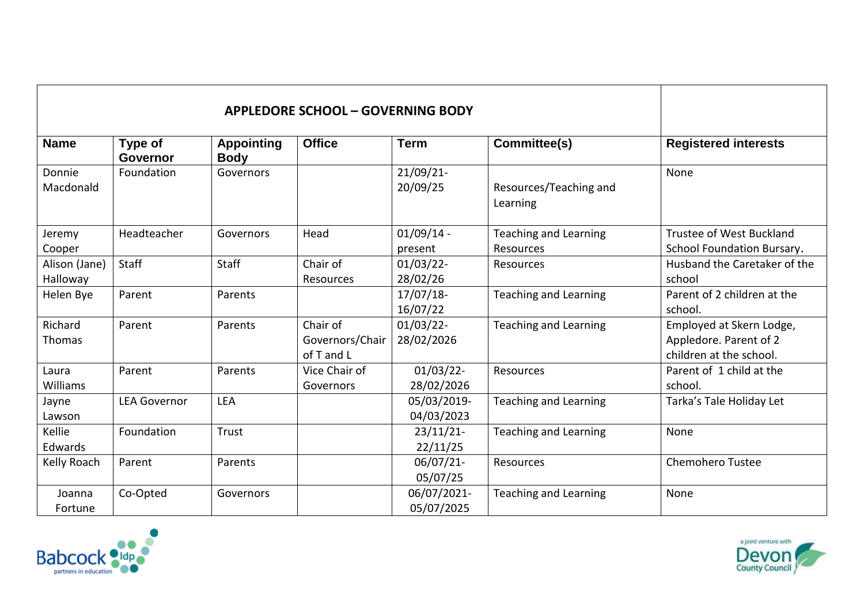| <b>Name</b>               | Type of<br><b>Governor</b> | <b>Appointing</b><br><b>Body</b> | <b>Office</b>                             | <b>Term</b>                | Committee(s)                              | <b>Registered interests</b>                                                   |
|---------------------------|----------------------------|----------------------------------|-------------------------------------------|----------------------------|-------------------------------------------|-------------------------------------------------------------------------------|
| Donnie<br>Macdonald       | Foundation                 | Governors                        |                                           | 21/09/21-<br>20/09/25      | Resources/Teaching and<br>Learning        | None                                                                          |
| Jeremy<br>Cooper          | Headteacher                | Governors                        | Head                                      | $01/09/14$ -<br>present    | <b>Teaching and Learning</b><br>Resources | Trustee of West Buckland<br>School Foundation Bursary.                        |
| Alison (Jane)<br>Halloway | Staff                      | <b>Staff</b>                     | Chair of<br>Resources                     | $01/03/22$ -<br>28/02/26   | Resources                                 | Husband the Caretaker of the<br>school                                        |
| Helen Bye                 | Parent                     | Parents                          |                                           | $17/07/18$ -<br>16/07/22   | <b>Teaching and Learning</b>              | Parent of 2 children at the<br>school.                                        |
| Richard<br>Thomas         | Parent                     | Parents                          | Chair of<br>Governors/Chair<br>of T and L | $01/03/22$ -<br>28/02/2026 | <b>Teaching and Learning</b>              | Employed at Skern Lodge,<br>Appledore. Parent of 2<br>children at the school. |
| Laura<br>Williams         | Parent                     | Parents                          | Vice Chair of<br>Governors                | $01/03/22$ -<br>28/02/2026 | Resources                                 | Parent of 1 child at the<br>school.                                           |
| Jayne<br>Lawson           | <b>LEA Governor</b>        | <b>LEA</b>                       |                                           | 05/03/2019-<br>04/03/2023  | <b>Teaching and Learning</b>              | Tarka's Tale Holiday Let                                                      |
| Kellie<br>Edwards         | Foundation                 | Trust                            |                                           | $23/11/21$ -<br>22/11/25   | <b>Teaching and Learning</b>              | None                                                                          |
| Kelly Roach               | Parent                     | Parents                          |                                           | 06/07/21-<br>05/07/25      | Resources                                 | <b>Chemohero Tustee</b>                                                       |
| Joanna<br>Fortune         | Co-Opted                   | Governors                        |                                           | 06/07/2021-<br>05/07/2025  | <b>Teaching and Learning</b>              | None                                                                          |